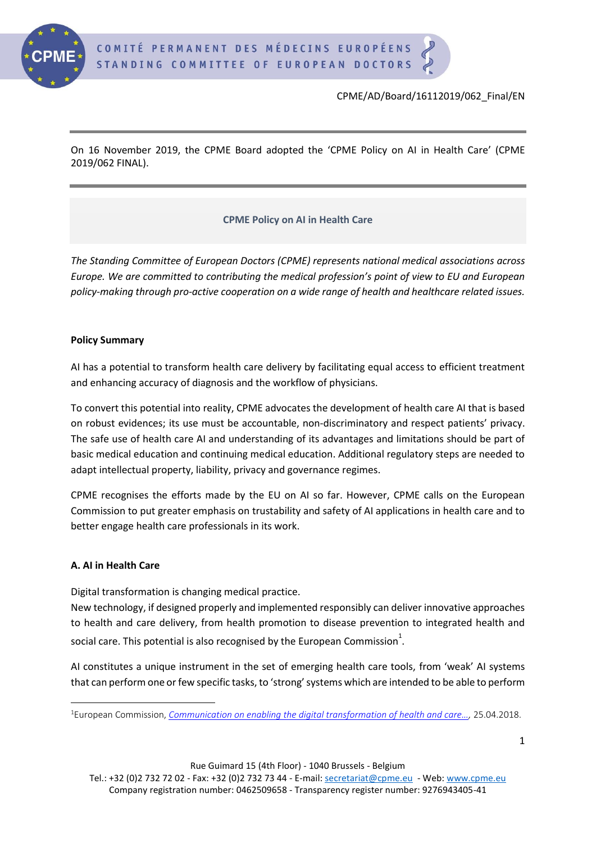

On 16 November 2019, the CPME Board adopted the 'CPME Policy on AI in Health Care' (CPME 2019/062 FINAL).

# **CPME Policy on AI in Health Care**

*The Standing Committee of European Doctors (CPME) represents national medical associations across Europe. We are committed to contributing the medical profession's point of view to EU and European policy-making through pro-active cooperation on a wide range of health and healthcare related issues.*

### **Policy Summary**

AI has a potential to transform health care delivery by facilitating equal access to efficient treatment and enhancing accuracy of diagnosis and the workflow of physicians.

To convert this potential into reality, CPME advocates the development of health care AI that is based on robust evidences; its use must be accountable, non-discriminatory and respect patients' privacy. The safe use of health care AI and understanding of its advantages and limitations should be part of basic medical education and continuing medical education. Additional regulatory steps are needed to adapt intellectual property, liability, privacy and governance regimes.

CPME recognises the efforts made by the EU on AI so far. However, CPME calls on the European Commission to put greater emphasis on trustability and safety of AI applications in health care and to better engage health care professionals in its work.

## **A. AI in Health Care**

Digital transformation is changing medical practice.

New technology, if designed properly and implemented responsibly can deliver innovative approaches to health and care delivery, from health promotion to disease prevention to integrated health and social care. This potential is also recognised by the European Commission $^{\rm 1}.$ 

AI constitutes a unique instrument in the set of emerging health care tools, from 'weak' AI systems that can perform one or few specific tasks, to 'strong' systems which are intended to be able to perform

<sup>1</sup>European Commission, *[Communication on enabling the digital transformation of health and care…](https://ec.europa.eu/digital-single-market/en/news/communication-enabling-digital-transformation-health-and-care-digital-single-market-empowering),* 25.04.2018.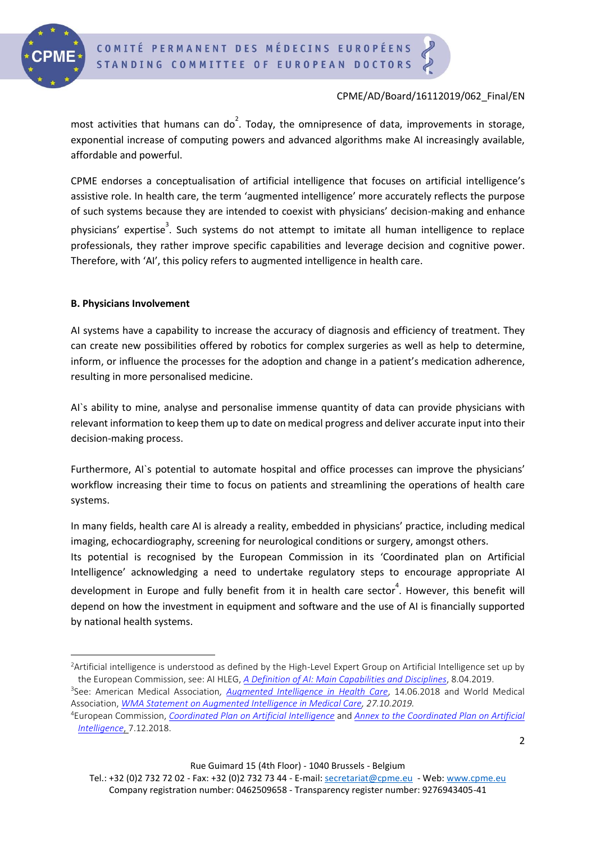

most activities that humans can do<sup>2</sup>. Today, the omnipresence of data, improvements in storage, exponential increase of computing powers and advanced algorithms make AI increasingly available, affordable and powerful.

CPME endorses a conceptualisation of artificial intelligence that focuses on artificial intelligence's assistive role. In health care, the term 'augmented intelligence' more accurately reflects the purpose of such systems because they are intended to coexist with physicians' decision-making and enhance physicians' expertise<sup>3</sup>. Such systems do not attempt to imitate all human intelligence to replace professionals, they rather improve specific capabilities and leverage decision and cognitive power. Therefore, with 'AI', this policy refers to augmented intelligence in health care.

### **B. Physicians Involvement**

AI systems have a capability to increase the accuracy of diagnosis and efficiency of treatment. They can create new possibilities offered by robotics for complex surgeries as well as help to determine, inform, or influence the processes for the adoption and change in a patient's medication adherence, resulting in more personalised medicine.

AI`s ability to mine, analyse and personalise immense quantity of data can provide physicians with relevant information to keep them up to date on medical progress and deliver accurate input into their decision-making process.

Furthermore, AI`s potential to automate hospital and office processes can improve the physicians' workflow increasing their time to focus on patients and streamlining the operations of health care systems.

In many fields, health care AI is already a reality, embedded in physicians' practice, including medical imaging, echocardiography, screening for neurological conditions or surgery, amongst others.

Its potential is recognised by the European Commission in its 'Coordinated plan on Artificial Intelligence' acknowledging a need to undertake regulatory steps to encourage appropriate AI development in Europe and fully benefit from it in health care sector<sup>4</sup>. However, this benefit will depend on how the investment in equipment and software and the use of AI is financially supported by national health systems.

<sup>2</sup>Artificial intelligence is understood as defined by the High-Level Expert Group on Artificial Intelligence set up by the European Commission, see: AI HLEG, *[A Definition of AI: Main Capabilities and Disciplines](https://ec.europa.eu/digital-single-market/en/news/definition-artificial-intelligence-main-capabilities-and-scientific-disciplines)*, 8.04.2019.

<sup>3</sup> See: American Medical Association*, [Augmented Intelligence in Health Care](https://www.ama-assn.org/press-center/press-releases/ama-passes-first-policy-recommendations-augmented-intelligence)*, 14.06.2018 and World Medical Association, *[WMA Statement on Augmented Intelligence in Medical Care,](https://www.wma.net/policies-post/wma-statement-on-augmented-intelligence-in-medical-care/) 27.10.2019.*

<sup>4</sup>European Commission, *[Coordinated Plan on Artificial Intelligence](http://europa.eu/rapid/press-release_MEMO-18-6690_en.htm)* and *[Annex to the Coordinated Plan on Artificial](https://ec.europa.eu/digital-single-market/en/news/coordinated-plan-artificial-intelligence)  [Intelligence](https://ec.europa.eu/digital-single-market/en/news/coordinated-plan-artificial-intelligence)*, 7.12.2018.

Tel.: +32 (0)2 732 72 02 - Fax: +32 (0)2 732 73 44 - E-mail: [secretariat@cpme.eu](mailto:secretariat@cpme.eu) - Web[: www.cpme.eu](http://www.cpme.eu/) Company registration number: 0462509658 - Transparency register number: 9276943405-41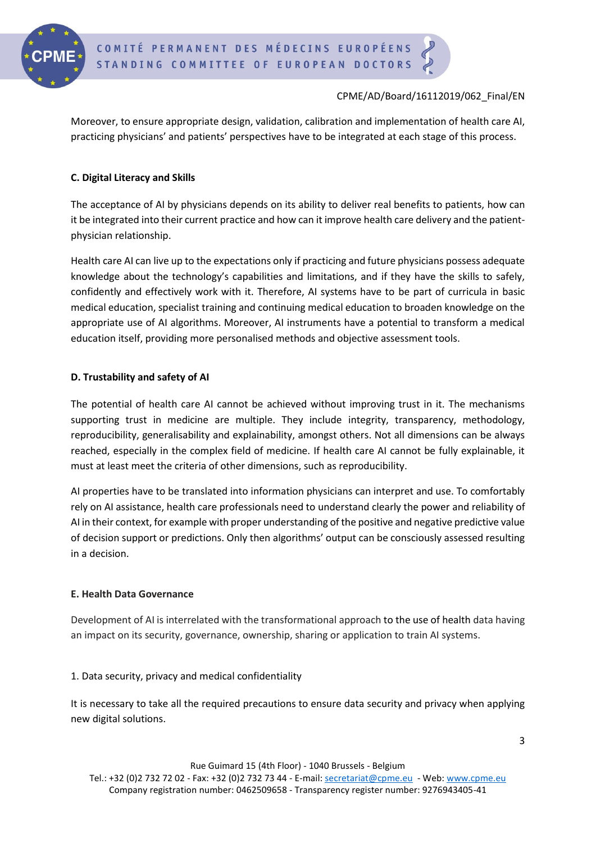

Moreover, to ensure appropriate design, validation, calibration and implementation of health care AI, practicing physicians' and patients' perspectives have to be integrated at each stage of this process.

## **C. Digital Literacy and Skills**

The acceptance of AI by physicians depends on its ability to deliver real benefits to patients, how can it be integrated into their current practice and how can it improve health care delivery and the patientphysician relationship.

Health care AI can live up to the expectations only if practicing and future physicians possess adequate knowledge about the technology's capabilities and limitations, and if they have the skills to safely, confidently and effectively work with it. Therefore, AI systems have to be part of curricula in basic medical education, specialist training and continuing medical education to broaden knowledge on the appropriate use of AI algorithms. Moreover, AI instruments have a potential to transform a medical education itself, providing more personalised methods and objective assessment tools.

## **D. Trustability and safety of AI**

The potential of health care AI cannot be achieved without improving trust in it. The mechanisms supporting trust in medicine are multiple. They include integrity, transparency, methodology, reproducibility, generalisability and explainability, amongst others. Not all dimensions can be always reached, especially in the complex field of medicine. If health care AI cannot be fully explainable, it must at least meet the criteria of other dimensions, such as reproducibility.

AI properties have to be translated into information physicians can interpret and use. To comfortably rely on AI assistance, health care professionals need to understand clearly the power and reliability of AI in their context, for example with proper understanding of the positive and negative predictive value of decision support or predictions. Only then algorithms' output can be consciously assessed resulting in a decision.

## **E. Health Data Governance**

Development of AI is interrelated with the transformational approach to the use of health data having an impact on its security, governance, ownership, sharing or application to train AI systems.

## 1. Data security, privacy and medical confidentiality

It is necessary to take all the required precautions to ensure data security and privacy when applying new digital solutions.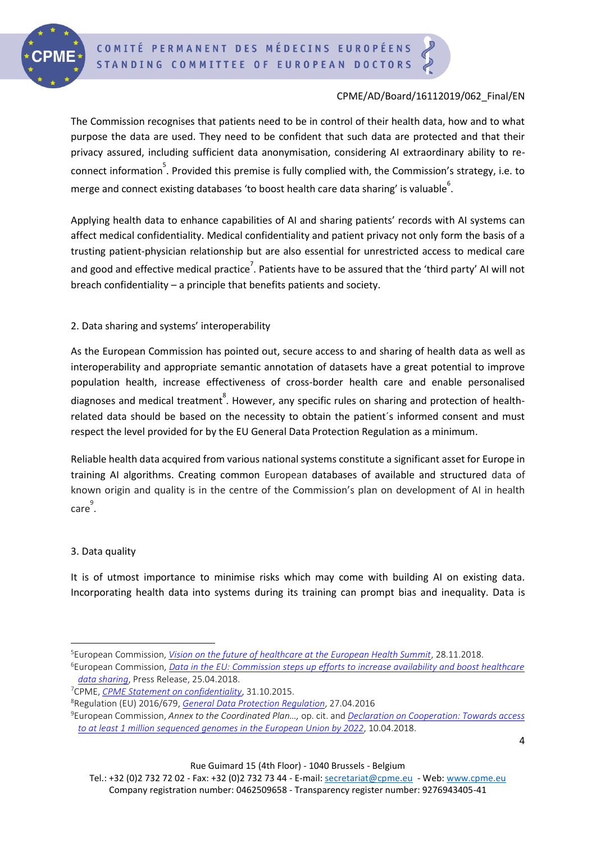

The Commission recognises that patients need to be in control of their health data, how and to what purpose the data are used. They need to be confident that such data are protected and that their privacy assured, including sufficient data anonymisation, considering AI extraordinary ability to reconnect information<sup>5</sup>. Provided this premise is fully complied with, the Commission's strategy, i.e. to merge and connect existing databases 'to boost health care data sharing' is valuable  $\degree$ .

Applying health data to enhance capabilities of AI and sharing patients' records with AI systems can affect medical confidentiality. Medical confidentiality and patient privacy not only form the basis of a trusting patient-physician relationship but are also essential for unrestricted access to medical care and good and effective medical practice<sup>7</sup>. Patients have to be assured that the 'third party' AI will not breach confidentiality – a principle that benefits patients and society.

## 2. Data sharing and systems' interoperability

As the European Commission has pointed out, secure access to and sharing of health data as well as interoperability and appropriate semantic annotation of datasets have a great potential to improve population health, increase effectiveness of cross-border health care and enable personalised diagnoses and medical treatment $\degree$ . However, any specific rules on sharing and protection of healthrelated data should be based on the necessity to obtain the patient´s informed consent and must respect the level provided for by the EU General Data Protection Regulation as a minimum.

Reliable health data acquired from various national systems constitute a significant asset for Europe in training AI algorithms. Creating common European databases of available and structured data of known origin and quality is in the centre of the Commission's plan on development of AI in health  $\mathsf{care}^\mathsf{9}.$ 

#### 3. Data quality

It is of utmost importance to minimise risks which may come with building AI on existing data. Incorporating health data into systems during its training can prompt bias and inequality. Data is

<sup>5</sup>European Commission, *[Vision on the future of healthcare at the European Health Summit](https://ec.europa.eu/digital-single-market/en/news/vision-future-healthcare-european-health-summit)*, 28.11.2018.

<sup>6</sup>European Commission, *[Data in the EU: Commission steps up efforts to increase availability and boost healthcare](http://europa.eu/rapid/press-release_IP-18-3364_en.htm)  [data sharing](http://europa.eu/rapid/press-release_IP-18-3364_en.htm)*, Press Release, 25.04.2018.

<sup>7</sup>CPME, *[CPME Statement on confidentiality](http://doc.cpme.eu:591/adopted/2015/CPME_AD_31102015_074_FINAL_EN_Statement.medical.confidentiality.pdf)*, 31.10.2015.

<sup>8</sup>Regulation (EU) 2016/679, *[General Data Protection Regulation](https://eur-lex.europa.eu/eli/reg/2016/679/oj)*, 27.04.2016

<sup>9</sup>European Commission, *Annex to the Coordinated Plan…,* op. cit. and *[Declaration on Cooperation: Towards access](https://ec.europa.eu/digital-single-market/en/news/eu-countries-will-cooperate-linking-genomic-databases-across-borders)  [to at least 1 million sequenced genomes in the European Union by 2022](https://ec.europa.eu/digital-single-market/en/news/eu-countries-will-cooperate-linking-genomic-databases-across-borders)*, 10.04.2018.

Tel.: +32 (0)2 732 72 02 - Fax: +32 (0)2 732 73 44 - E-mail: [secretariat@cpme.eu](mailto:secretariat@cpme.eu) - Web[: www.cpme.eu](http://www.cpme.eu/) Company registration number: 0462509658 - Transparency register number: 9276943405-41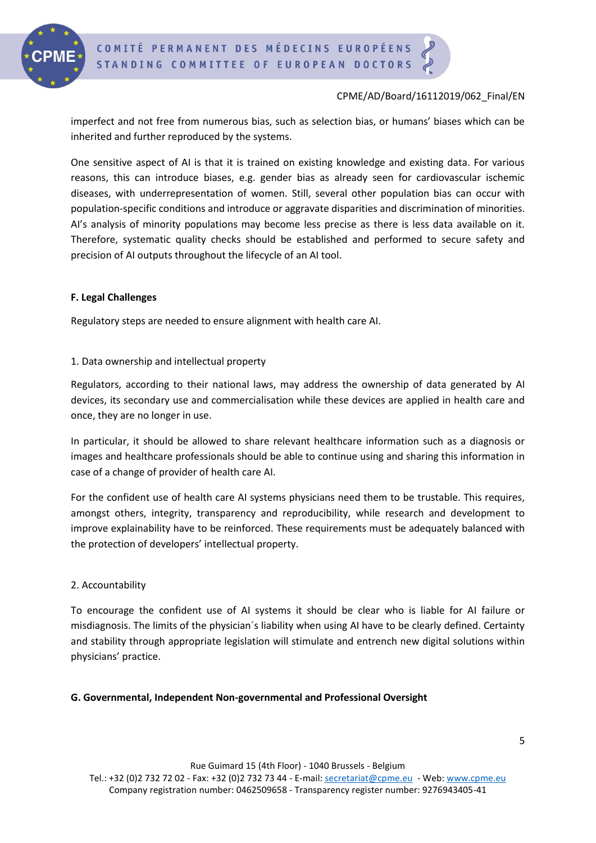

imperfect and not free from numerous bias, such as selection bias, or humans' biases which can be inherited and further reproduced by the systems.

One sensitive aspect of AI is that it is trained on existing knowledge and existing data. For various reasons, this can introduce biases, e.g. gender bias as already seen for cardiovascular ischemic diseases, with underrepresentation of women. Still, several other population bias can occur with population-specific conditions and introduce or aggravate disparities and discrimination of minorities. AI's analysis of minority populations may become less precise as there is less data available on it. Therefore, systematic quality checks should be established and performed to secure safety and precision of AI outputs throughout the lifecycle of an AI tool.

#### **F. Legal Challenges**

Regulatory steps are needed to ensure alignment with health care AI.

### 1. Data ownership and intellectual property

Regulators, according to their national laws, may address the ownership of data generated by AI devices, its secondary use and commercialisation while these devices are applied in health care and once, they are no longer in use.

In particular, it should be allowed to share relevant healthcare information such as a diagnosis or images and healthcare professionals should be able to continue using and sharing this information in case of a change of provider of health care AI.

For the confident use of health care AI systems physicians need them to be trustable. This requires, amongst others, integrity, transparency and reproducibility, while research and development to improve explainability have to be reinforced. These requirements must be adequately balanced with the protection of developers' intellectual property.

#### 2. Accountability

To encourage the confident use of AI systems it should be clear who is liable for AI failure or misdiagnosis. The limits of the physician´s liability when using AI have to be clearly defined. Certainty and stability through appropriate legislation will stimulate and entrench new digital solutions within physicians' practice.

#### **G. Governmental, Independent Non-governmental and Professional Oversight**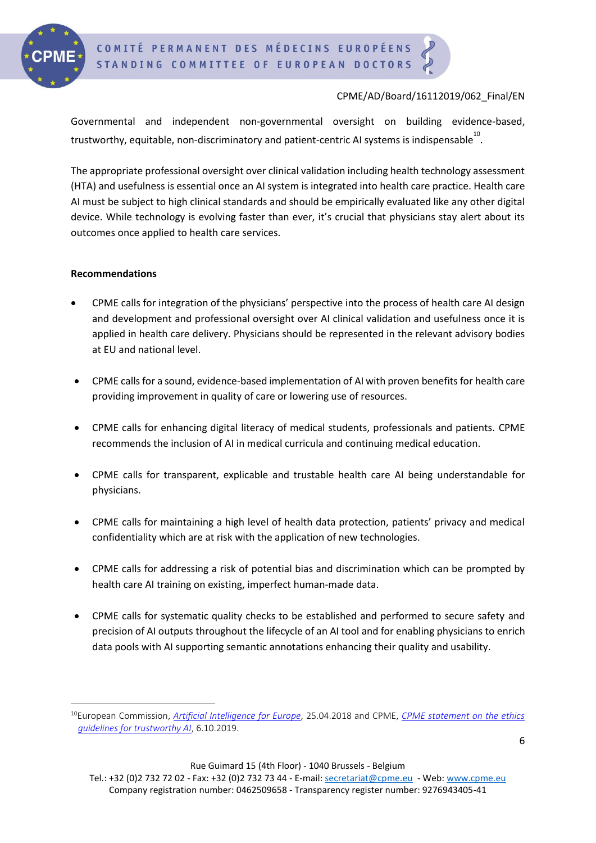

Governmental and independent non-governmental oversight on building evidence-based, trustworthy, equitable, non-discriminatory and patient-centric AI systems is indispensable $^{10}$ .

The appropriate professional oversight over clinical validation including health technology assessment (HTA) and usefulness is essential once an AI system is integrated into health care practice. Health care AI must be subject to high clinical standards and should be empirically evaluated like any other digital device. While technology is evolving faster than ever, it's crucial that physicians stay alert about its outcomes once applied to health care services.

#### **Recommendations**

- CPME calls for integration of the physicians' perspective into the process of health care AI design and development and professional oversight over AI clinical validation and usefulness once it is applied in health care delivery. Physicians should be represented in the relevant advisory bodies at EU and national level.
- CPME calls for a sound, evidence-based implementation of AI with proven benefits for health care providing improvement in quality of care or lowering use of resources.
- CPME calls for enhancing digital literacy of medical students, professionals and patients. CPME recommends the inclusion of AI in medical curricula and continuing medical education.
- CPME calls for transparent, explicable and trustable health care AI being understandable for physicians.
- CPME calls for maintaining a high level of health data protection, patients' privacy and medical confidentiality which are at risk with the application of new technologies.
- CPME calls for addressing a risk of potential bias and discrimination which can be prompted by health care AI training on existing, imperfect human-made data.
- CPME calls for systematic quality checks to be established and performed to secure safety and precision of AI outputs throughout the lifecycle of an AI tool and for enabling physicians to enrich data pools with AI supporting semantic annotations enhancing their quality and usability.

Rue Guimard 15 (4th Floor) - 1040 Brussels - Belgium

Tel.: +32 (0)2 732 72 02 - Fax: +32 (0)2 732 73 44 - E-mail: [secretariat@cpme.eu](mailto:secretariat@cpme.eu) - Web[: www.cpme.eu](http://www.cpme.eu/) Company registration number: 0462509658 - Transparency register number: 9276943405-41

<sup>10</sup>European Commission, *[Artificial Intelligence for Europe](https://ec.europa.eu/digital-single-market/en/news/communication-artificial-intelligence-europe)*, 25.04.2018 and CPME, *[CPME statement on the ethics](http://doc.cpme.eu/adopted/2019/CPME_AD_Board_06042019_020_FINAL_EN_CPME.statement.on.ethics.guidelines.for.trustworthy.pdf)  [guidelines for trustworthy AI](http://doc.cpme.eu/adopted/2019/CPME_AD_Board_06042019_020_FINAL_EN_CPME.statement.on.ethics.guidelines.for.trustworthy.pdf)*, 6.10.2019.